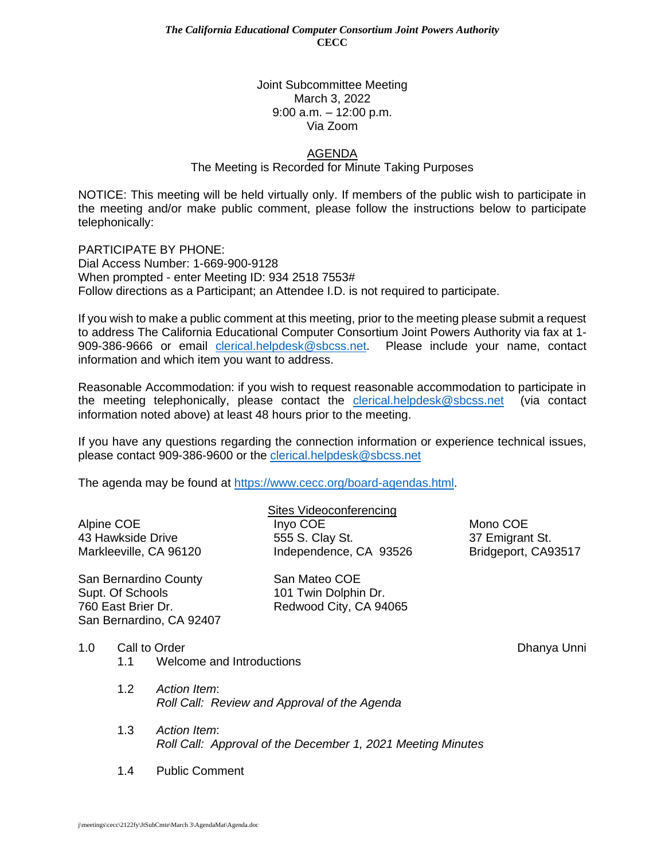## Joint Subcommittee Meeting March 3, 2022 9:00 a.m. – 12:00 p.m. Via Zoom

## AGENDA

The Meeting is Recorded for Minute Taking Purposes

NOTICE: This meeting will be held virtually only. If members of the public wish to participate in the meeting and/or make public comment, please follow the instructions below to participate telephonically:

PARTICIPATE BY PHONE: Dial Access Number: 1-669-900-9128 When prompted - enter Meeting ID: 934 2518 7553# Follow directions as a Participant; an Attendee I.D. is not required to participate.

If you wish to make a public comment at this meeting, prior to the meeting please submit a request to address The California Educational Computer Consortium Joint Powers Authority via fax at 1- 909-386-9666 or email [clerical.helpdesk@sbcss.net.](mailto:clerical.helpdesk@sbcss.net) Please include your name, contact information and which item you want to address.

Reasonable Accommodation: if you wish to request reasonable accommodation to participate in the meeting telephonically, please contact the [clerical.helpdesk@sbcss.net](mailto:clerical.helpdesk@sbcss.net) (via contact information noted above) at least 48 hours prior to the meeting.

If you have any questions regarding the connection information or experience technical issues, please contact 909-386-9600 or the [clerical.helpdesk@sbcss.net](mailto:clerical.helpdesk@sbcss.net)

The agenda may be found at [https://www.cecc.org/board-agendas.html.](https://www.cecc.org/board-agendas.html)

|                        | Sites Videoconferencing |                     |
|------------------------|-------------------------|---------------------|
| Alpine COE             | Inyo COE                | Mono COE            |
| 43 Hawkside Drive      | 555 S. Clay St.         | 37 Emigrant St.     |
| Markleeville, CA 96120 | Independence, CA 93526  | Bridgeport, CA93517 |
|                        |                         |                     |

San Bernardino County San Mateo COE Supt. Of Schools 101 Twin Dolphin Dr. 760 East Brier Dr. Redwood City, CA 94065 San Bernardino, CA 92407

1.0 Call to Order **Dhanya University Community** Call to Order New York 2012 1.0 Call to Order New York 2014

- 1.1 Welcome and Introductions
- 1.2 *Action Item*: *Roll Call: Review and Approval of the Agenda*
- 1.3 *Action Item*: *Roll Call: Approval of the December 1, 2021 Meeting Minutes*
- 1.4 Public Comment